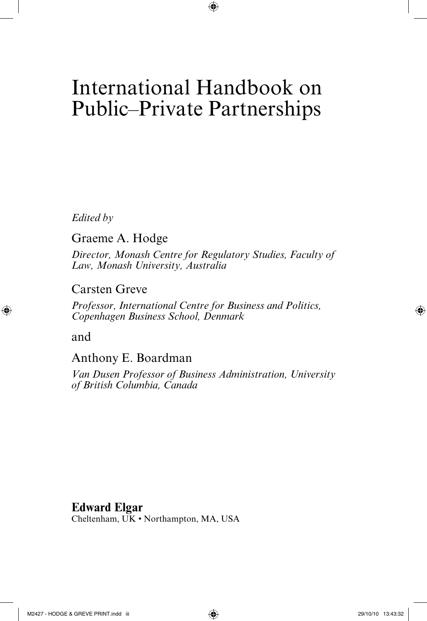# International Handbook on Public–Private Partnerships

*Edited by*

Graeme A. Hodge

*Director, Monash Centre for Regulatory Studies, Faculty of Law, Monash University, Australia*

### Carsten Greve

*Professor, International Centre for Business and Politics, Copenhagen Business School, Denmark*

and

### Anthony E. Boardman

*Van Dusen Professor of Business Administration, University of British Columbia, Canada*

### **Edward Elgar**

Cheltenham, UK • Northampton, MA, USA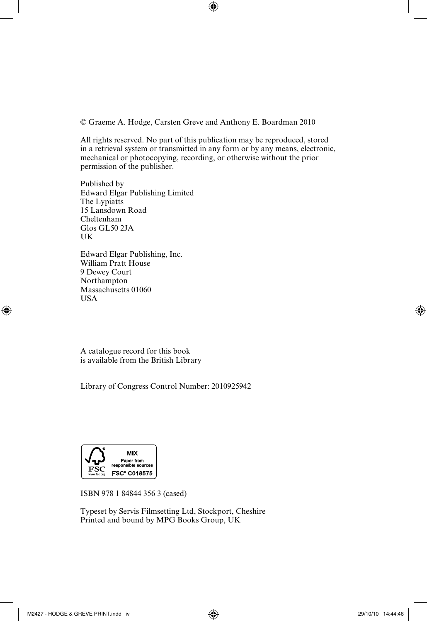© Graeme A. Hodge, Carsten Greve and Anthony E. Boardman 2010

All rights reserved. No part of this publication may be reproduced, stored in a retrieval system or transmitted in any form or by any means, electronic, mechanical or photocopying, recording, or otherwise without the prior permission of the publisher.

Published by Edward Elgar Publishing Limited The Lypiatts 15 Lansdown Road Cheltenham Glos GL50 2JA UK

Edward Elgar Publishing, Inc. William Pratt House 9 Dewey Court Northampton Massachusetts 01060 **USA** 

A catalogue record for this book is available from the British Library

Library of Congress Control Number: 2010925942



ISBN 978 1 84844 356 3 (cased)

Typeset by Servis Filmsetting Ltd, Stockport, Cheshire Printed and bound by MPG Books Group, UK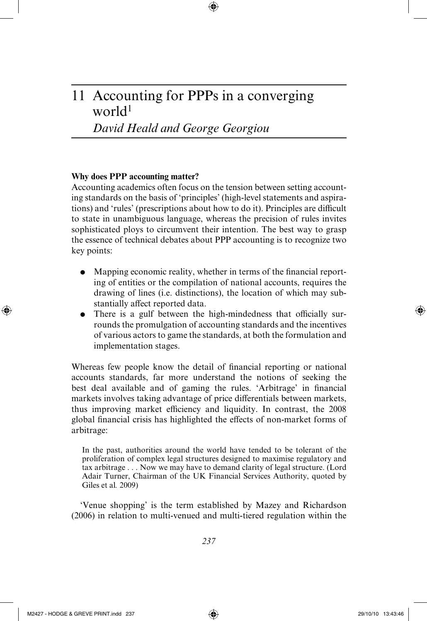## 11 Accounting for PPPs in a converging world<sup>1</sup> *David Heald and George Georgiou*

#### **Why does PPP accounting matter?**

Accounting academics often focus on the tension between setting accounting standards on the basis of 'principles' (high- level statements and aspirations) and 'rules' (prescriptions about how to do it). Principles are difficult to state in unambiguous language, whereas the precision of rules invites sophisticated ploys to circumvent their intention. The best way to grasp the essence of technical debates about PPP accounting is to recognize two key points:

- Mapping economic reality, whether in terms of the financial reporting of entities or the compilation of national accounts, requires the drawing of lines (i.e. distinctions), the location of which may substantially affect reported data.
- $\bullet$  There is a gulf between the high-mindedness that officially surrounds the promulgation of accounting standards and the incentives of various actors to game the standards, at both the formulation and implementation stages.

Whereas few people know the detail of financial reporting or national accounts standards, far more understand the notions of seeking the best deal available and of gaming the rules. 'Arbitrage' in financial markets involves taking advantage of price differentials between markets, thus improving market efficiency and liquidity. In contrast, the 2008 global financial crisis has highlighted the effects of non-market forms of arbitrage:

In the past, authorities around the world have tended to be tolerant of the proliferation of complex legal structures designed to maximise regulatory and tax arbitrage . . . Now we may have to demand clarity of legal structure. (Lord Adair Turner, Chairman of the UK Financial Services Authority, quoted by Giles et al*.* 2009)

'Venue shopping' is the term established by Mazey and Richardson (2006) in relation to multi- venued and multi- tiered regulation within the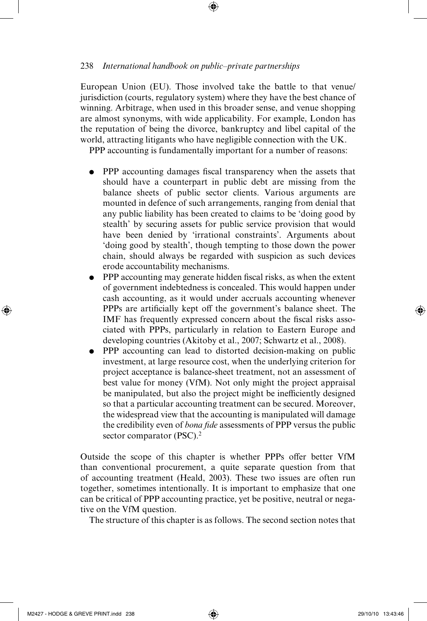European Union (EU). Those involved take the battle to that venue/ jurisdiction (courts, regulatory system) where they have the best chance of winning. Arbitrage, when used in this broader sense, and venue shopping are almost synonyms, with wide applicability. For example, London has the reputation of being the divorce, bankruptcy and libel capital of the world, attracting litigants who have negligible connection with the UK.

PPP accounting is fundamentally important for a number of reasons:

- PPP accounting damages fiscal transparency when the assets that should have a counterpart in public debt are missing from the balance sheets of public sector clients. Various arguments are mounted in defence of such arrangements, ranging from denial that any public liability has been created to claims to be 'doing good by stealth' by securing assets for public service provision that would have been denied by 'irrational constraints'. Arguments about 'doing good by stealth', though tempting to those down the power chain, should always be regarded with suspicion as such devices erode accountability mechanisms.
- $\bullet$  PPP accounting may generate hidden fiscal risks, as when the extent of government indebtedness is concealed. This would happen under cash accounting, as it would under accruals accounting whenever PPPs are artificially kept off the government's balance sheet. The IMF has frequently expressed concern about the fiscal risks associated with PPPs, particularly in relation to Eastern Europe and developing countries (Akitoby et al., 2007; Schwartz et al., 2008).
- PPP accounting can lead to distorted decision-making on public investment, at large resource cost, when the underlying criterion for project acceptance is balance- sheet treatment, not an assessment of best value for money (VfM). Not only might the project appraisal be manipulated, but also the project might be inefficiently designed so that a particular accounting treatment can be secured. Moreover, the widespread view that the accounting is manipulated will damage the credibility even of *bona fide* assessments of PPP versus the public sector comparator (PSC).<sup>2</sup>

Outside the scope of this chapter is whether PPPs offer better VfM than conventional procurement, a quite separate question from that of accounting treatment (Heald, 2003). These two issues are often run together, sometimes intentionally. It is important to emphasize that one can be critical of PPP accounting practice, yet be positive, neutral or negative on the VfM question.

The structure of this chapter is as follows. The second section notes that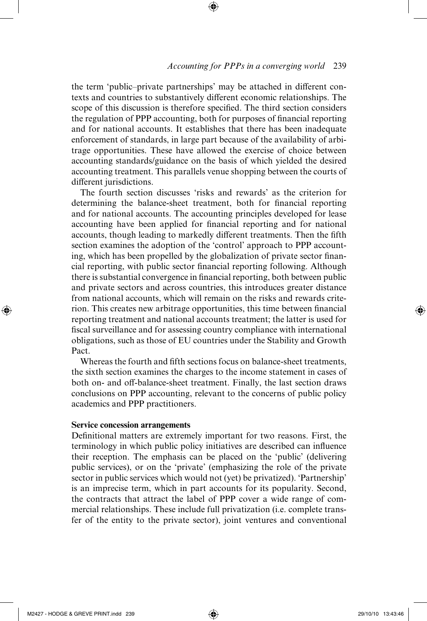the term 'public–private partnerships' may be attached in different contexts and countries to substantively different economic relationships. The scope of this discussion is therefore specified. The third section considers the regulation of PPP accounting, both for purposes of financial reporting and for national accounts. It establishes that there has been inadequate enforcement of standards, in large part because of the availability of arbitrage opportunities. These have allowed the exercise of choice between accounting standards/guidance on the basis of which yielded the desired accounting treatment. This parallels venue shopping between the courts of different jurisdictions.

The fourth section discusses 'risks and rewards' as the criterion for determining the balance-sheet treatment, both for financial reporting and for national accounts. The accounting principles developed for lease accounting have been applied for financial reporting and for national accounts, though leading to markedly different treatments. Then the fifth section examines the adoption of the 'control' approach to PPP accounting, which has been propelled by the globalization of private sector financial reporting, with public sector financial reporting following. Although there is substantial convergence in financial reporting, both between public and private sectors and across countries, this introduces greater distance from national accounts, which will remain on the risks and rewards criterion. This creates new arbitrage opportunities, this time between financial reporting treatment and national accounts treatment; the latter is used for fiscal surveillance and for assessing country compliance with international obligations, such as those of EU countries under the Stability and Growth Pact.

Whereas the fourth and fifth sections focus on balance-sheet treatments, the sixth section examines the charges to the income statement in cases of both on- and off-balance-sheet treatment. Finally, the last section draws conclusions on PPP accounting, relevant to the concerns of public policy academics and PPP practitioners.

#### **Service concession arrangements**

Definitional matters are extremely important for two reasons. First, the terminology in which public policy initiatives are described can influence their reception. The emphasis can be placed on the 'public' (delivering public services), or on the 'private' (emphasizing the role of the private sector in public services which would not (yet) be privatized). 'Partnership' is an imprecise term, which in part accounts for its popularity. Second, the contracts that attract the label of PPP cover a wide range of commercial relationships. These include full privatization (i.e. complete transfer of the entity to the private sector), joint ventures and conventional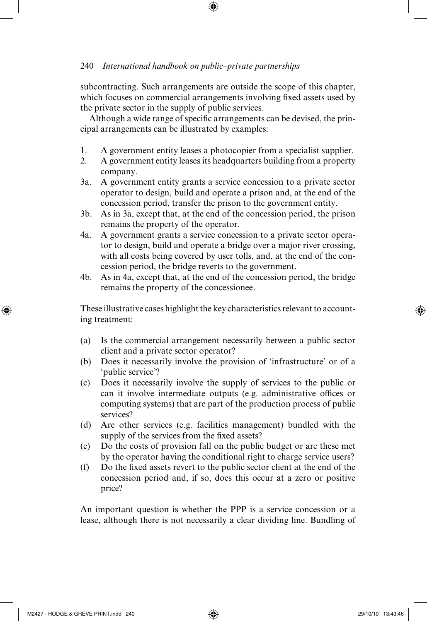subcontracting. Such arrangements are outside the scope of this chapter, which focuses on commercial arrangements involving fixed assets used by the private sector in the supply of public services.

Although a wide range of specific arrangements can be devised, the principal arrangements can be illustrated by examples:

- 1. A government entity leases a photocopier from a specialist supplier.
- 2. A government entity leases its headquarters building from a property company.
- 3a. A government entity grants a service concession to a private sector operator to design, build and operate a prison and, at the end of the concession period, transfer the prison to the government entity.
- 3b. As in 3a, except that, at the end of the concession period, the prison remains the property of the operator.
- 4a. A government grants a service concession to a private sector operator to design, build and operate a bridge over a major river crossing, with all costs being covered by user tolls, and, at the end of the concession period, the bridge reverts to the government.
- 4b. As in 4a, except that, at the end of the concession period, the bridge remains the property of the concessionee.

These illustrative cases highlight the key characteristics relevant to accounting treatment:

- (a) Is the commercial arrangement necessarily between a public sector client and a private sector operator?
- (b) Does it necessarily involve the provision of 'infrastructure' or of a 'public service'?
- (c) Does it necessarily involve the supply of services to the public or can it involve intermediate outputs (e.g. administrative offices or computing systems) that are part of the production process of public services?
- (d) Are other services (e.g. facilities management) bundled with the supply of the services from the fixed assets?
- (e) Do the costs of provision fall on the public budget or are these met by the operator having the conditional right to charge service users?
- $(f)$  Do the fixed assets revert to the public sector client at the end of the concession period and, if so, does this occur at a zero or positive price?

An important question is whether the PPP is a service concession or a lease, although there is not necessarily a clear dividing line. Bundling of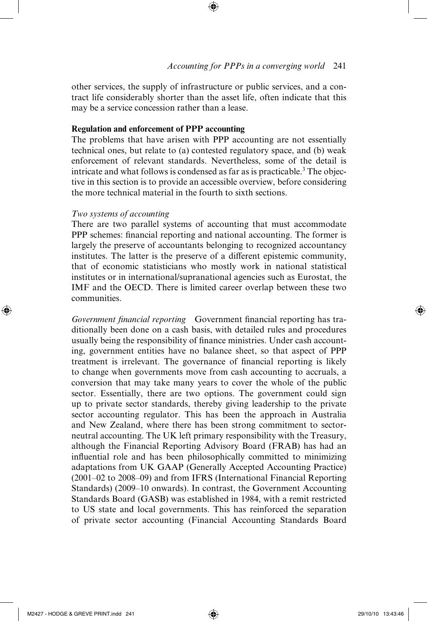other services, the supply of infrastructure or public services, and a contract life considerably shorter than the asset life, often indicate that this may be a service concession rather than a lease.

#### **Regulation and enforcement of PPP accounting**

The problems that have arisen with PPP accounting are not essentially technical ones, but relate to (a) contested regulatory space, and (b) weak enforcement of relevant standards. Nevertheless, some of the detail is intricate and what follows is condensed as far as is practicable.3 The objective in this section is to provide an accessible overview, before considering the more technical material in the fourth to sixth sections.

#### *Two systems of accounting*

There are two parallel systems of accounting that must accommodate PPP schemes: financial reporting and national accounting. The former is largely the preserve of accountants belonging to recognized accountancy institutes. The latter is the preserve of a different epistemic community. that of economic statisticians who mostly work in national statistical institutes or in international/supranational agencies such as Eurostat, the IMF and the OECD. There is limited career overlap between these two communities.

*Government financial reporting* Government financial reporting has traditionally been done on a cash basis, with detailed rules and procedures usually being the responsibility of finance ministries. Under cash accounting, government entities have no balance sheet, so that aspect of PPP treatment is irrelevant. The governance of financial reporting is likely to change when governments move from cash accounting to accruals, a conversion that may take many years to cover the whole of the public sector. Essentially, there are two options. The government could sign up to private sector standards, thereby giving leadership to the private sector accounting regulator. This has been the approach in Australia and New Zealand, where there has been strong commitment to sector neutral accounting. The UK left primary responsibility with the Treasury, although the Financial Reporting Advisory Board (FRAB) has had an influential role and has been philosophically committed to minimizing adaptations from UK GAAP (Generally Accepted Accounting Practice) (2001–02 to 2008–09) and from IFRS (International Financial Reporting Standards) (2009–10 onwards). In contrast, the Government Accounting Standards Board (GASB) was established in 1984, with a remit restricted to US state and local governments. This has reinforced the separation of private sector accounting (Financial Accounting Standards Board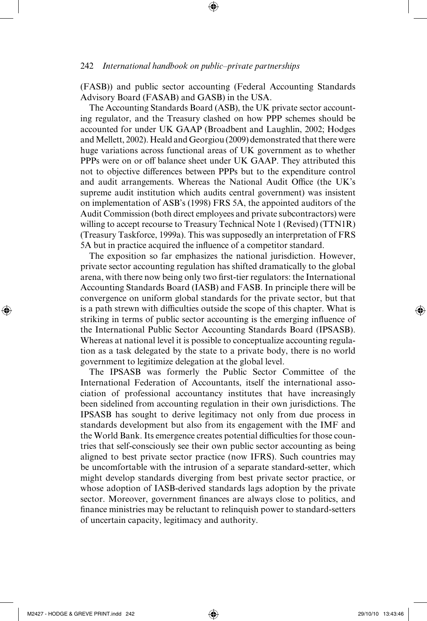(FASB)) and public sector accounting (Federal Accounting Standards Advisory Board (FASAB) and GASB) in the USA.

The Accounting Standards Board (ASB), the UK private sector accounting regulator, and the Treasury clashed on how PPP schemes should be accounted for under UK GAAP (Broadbent and Laughlin, 2002; Hodges and Mellett, 2002). Heald and Georgiou (2009) demonstrated that there were huge variations across functional areas of UK government as to whether PPPs were on or off balance sheet under UK GAAP. They attributed this not to objective differences between PPPs but to the expenditure control and audit arrangements. Whereas the National Audit Office (the UK's supreme audit institution which audits central government) was insistent on implementation of ASB's (1998) FRS 5A, the appointed auditors of the Audit Commission (both direct employees and private subcontractors) were willing to accept recourse to Treasury Technical Note 1 (Revised) (TTN1R) (Treasury Taskforce, 1999a). This was supposedly an interpretation of FRS 5A but in practice acquired the influence of a competitor standard.

The exposition so far emphasizes the national jurisdiction. However, private sector accounting regulation has shifted dramatically to the global arena, with there now being only two first-tier regulators: the International Accounting Standards Board (IASB) and FASB. In principle there will be convergence on uniform global standards for the private sector, but that is a path strewn with difficulties outside the scope of this chapter. What is striking in terms of public sector accounting is the emerging influence of the International Public Sector Accounting Standards Board (IPSASB). Whereas at national level it is possible to conceptualize accounting regulation as a task delegated by the state to a private body, there is no world government to legitimize delegation at the global level.

The IPSASB was formerly the Public Sector Committee of the International Federation of Accountants, itself the international association of professional accountancy institutes that have increasingly been sidelined from accounting regulation in their own jurisdictions. The IPSASB has sought to derive legitimacy not only from due process in standards development but also from its engagement with the IMF and the World Bank. Its emergence creates potential difficulties for those countries that self- consciously see their own public sector accounting as being aligned to best private sector practice (now IFRS). Such countries may be uncomfortable with the intrusion of a separate standard- setter, which might develop standards diverging from best private sector practice, or whose adoption of IASB- derived standards lags adoption by the private sector. Moreover, government finances are always close to politics, and finance ministries may be reluctant to relinquish power to standard-setters of uncertain capacity, legitimacy and authority.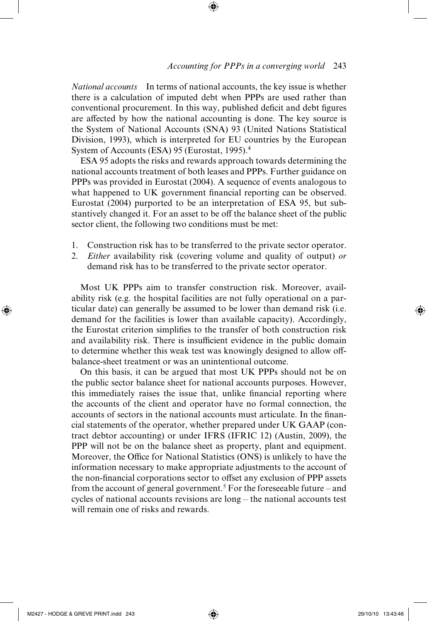*National accounts* In terms of national accounts, the key issue is whether there is a calculation of imputed debt when PPPs are used rather than conventional procurement. In this way, published deficit and debt figures are affected by how the national accounting is done. The key source is the System of National Accounts (SNA) 93 (United Nations Statistical Division, 1993), which is interpreted for EU countries by the European System of Accounts (ESA) 95 (Eurostat, 1995).4

ESA 95 adopts the risks and rewards approach towards determining the national accounts treatment of both leases and PPPs. Further guidance on PPPs was provided in Eurostat (2004). A sequence of events analogous to what happened to UK government financial reporting can be observed. Eurostat (2004) purported to be an interpretation of ESA 95, but substantively changed it. For an asset to be off the balance sheet of the public sector client, the following two conditions must be met:

- 1. Construction risk has to be transferred to the private sector operator.
- 2. *Either* availability risk (covering volume and quality of output) *or* demand risk has to be transferred to the private sector operator.

Most UK PPPs aim to transfer construction risk. Moreover, availability risk (e.g. the hospital facilities are not fully operational on a particular date) can generally be assumed to be lower than demand risk (i.e. demand for the facilities is lower than available capacity). Accordingly, the Eurostat criterion simplifies to the transfer of both construction risk and availability risk. There is insufficient evidence in the public domain to determine whether this weak test was knowingly designed to allow off balance- sheet treatment or was an unintentional outcome.

On this basis, it can be argued that most UK PPPs should not be on the public sector balance sheet for national accounts purposes. However, this immediately raises the issue that, unlike financial reporting where the accounts of the client and operator have no formal connection, the accounts of sectors in the national accounts must articulate. In the financial statements of the operator, whether prepared under UK GAAP (contract debtor accounting) or under IFRS (IFRIC 12) (Austin, 2009), the PPP will not be on the balance sheet as property, plant and equipment. Moreover, the Office for National Statistics (ONS) is unlikely to have the information necessary to make appropriate adjustments to the account of the non-financial corporations sector to offset any exclusion of PPP assets from the account of general government.<sup>5</sup> For the foreseeable future – and cycles of national accounts revisions are long – the national accounts test will remain one of risks and rewards.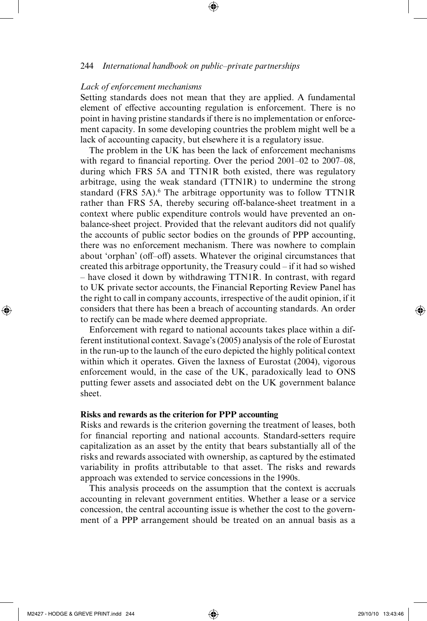#### 244 *International handbook on public–private partnerships*

#### *Lack of enforcement mechanisms*

Setting standards does not mean that they are applied. A fundamental element of effective accounting regulation is enforcement. There is no point in having pristine standards if there is no implementation or enforcement capacity. In some developing countries the problem might well be a lack of accounting capacity, but elsewhere it is a regulatory issue.

The problem in the UK has been the lack of enforcement mechanisms with regard to financial reporting. Over the period  $2001-02$  to  $2007-08$ , during which FRS 5A and TTN1R both existed, there was regulatory arbitrage, using the weak standard (TTN1R) to undermine the strong standard (FRS 5A). $6$  The arbitrage opportunity was to follow TTN1R rather than FRS 5A, thereby securing off-balance-sheet treatment in a context where public expenditure controls would have prevented an onbalance- sheet project. Provided that the relevant auditors did not qualify the accounts of public sector bodies on the grounds of PPP accounting, there was no enforcement mechanism. There was nowhere to complain about 'orphan' (off-off) assets. Whatever the original circumstances that created this arbitrage opportunity, the Treasury could – if it had so wished – have closed it down by withdrawing TTN1R. In contrast, with regard to UK private sector accounts, the Financial Reporting Review Panel has the right to call in company accounts, irrespective of the audit opinion, if it considers that there has been a breach of accounting standards. An order to rectify can be made where deemed appropriate.

Enforcement with regard to national accounts takes place within a different institutional context. Savage's (2005) analysis of the role of Eurostat in the run- up to the launch of the euro depicted the highly political context within which it operates. Given the laxness of Eurostat (2004), vigorous enforcement would, in the case of the UK, paradoxically lead to ONS putting fewer assets and associated debt on the UK government balance sheet.

#### **Risks and rewards as the criterion for PPP accounting**

Risks and rewards is the criterion governing the treatment of leases, both for financial reporting and national accounts. Standard-setters require capitalization as an asset by the entity that bears substantially all of the risks and rewards associated with ownership, as captured by the estimated variability in profits attributable to that asset. The risks and rewards approach was extended to service concessions in the 1990s.

This analysis proceeds on the assumption that the context is accruals accounting in relevant government entities. Whether a lease or a service concession, the central accounting issue is whether the cost to the government of a PPP arrangement should be treated on an annual basis as a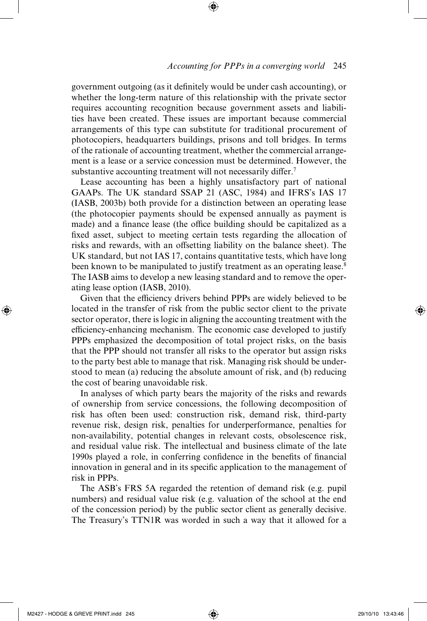government outgoing (as it definitely would be under cash accounting), or whether the long-term nature of this relationship with the private sector requires accounting recognition because government assets and liabilities have been created. These issues are important because commercial arrangements of this type can substitute for traditional procurement of photocopiers, headquarters buildings, prisons and toll bridges. In terms of the rationale of accounting treatment, whether the commercial arrangement is a lease or a service concession must be determined. However, the substantive accounting treatment will not necessarily differ.<sup>7</sup>

Lease accounting has been a highly unsatisfactory part of national GAAPs. The UK standard SSAP 21 (ASC, 1984) and IFRS's IAS 17 (IASB, 2003b) both provide for a distinction between an operating lease (the photocopier payments should be expensed annually as payment is made) and a finance lease (the office building should be capitalized as a fixed asset, subject to meeting certain tests regarding the allocation of risks and rewards, with an offsetting liability on the balance sheet). The UK standard, but not IAS 17, contains quantitative tests, which have long been known to be manipulated to justify treatment as an operating lease.<sup>8</sup> The IASB aims to develop a new leasing standard and to remove the operating lease option (IASB, 2010).

Given that the efficiency drivers behind PPPs are widely believed to be located in the transfer of risk from the public sector client to the private sector operator, there is logic in aligning the accounting treatment with the efficiency-enhancing mechanism. The economic case developed to justify PPPs emphasized the decomposition of total project risks, on the basis that the PPP should not transfer all risks to the operator but assign risks to the party best able to manage that risk. Managing risk should be understood to mean (a) reducing the absolute amount of risk, and (b) reducing the cost of bearing unavoidable risk.

In analyses of which party bears the majority of the risks and rewards of ownership from service concessions, the following decomposition of risk has often been used: construction risk, demand risk, third-party revenue risk, design risk, penalties for underperformance, penalties for non- availability, potential changes in relevant costs, obsolescence risk, and residual value risk. The intellectual and business climate of the late 1990s played a role, in conferring confidence in the benefits of financial innovation in general and in its specific application to the management of risk in PPPs.

The ASB's FRS 5A regarded the retention of demand risk (e.g. pupil numbers) and residual value risk (e.g. valuation of the school at the end of the concession period) by the public sector client as generally decisive. The Treasury's TTN1R was worded in such a way that it allowed for a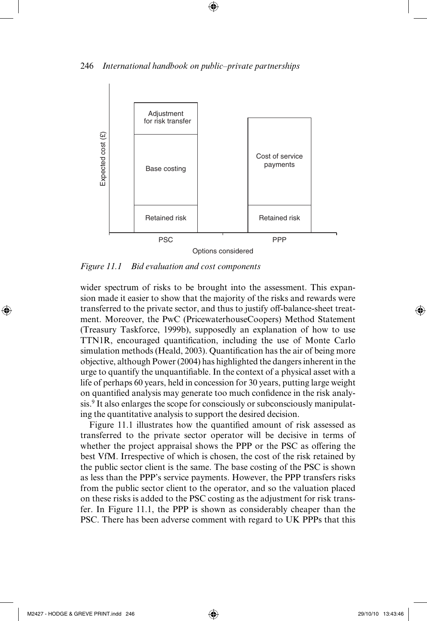

*Figure 11.1 Bid evaluation and cost components*

wider spectrum of risks to be brought into the assessment. This expansion made it easier to show that the majority of the risks and rewards were transferred to the private sector, and thus to justify off - balance- sheet treatment. Moreover, the PwC (PricewaterhouseCoopers) Method Statement (Treasury Taskforce, 1999b), supposedly an explanation of how to use TTN1R, encouraged quantification, including the use of Monte Carlo simulation methods (Heald, 2003). Quantification has the air of being more objective, although Power (2004) has highlighted the dangers inherent in the urge to quantify the unquantifiable. In the context of a physical asset with a life of perhaps 60 years, held in concession for 30 years, putting large weight on quantified analysis may generate too much confidence in the risk analysis.9 It also enlarges the scope for consciously or subconsciously manipulating the quantitative analysis to support the desired decision.

Figure 11.1 illustrates how the quantified amount of risk assessed as transferred to the private sector operator will be decisive in terms of whether the project appraisal shows the PPP or the PSC as offering the best VfM. Irrespective of which is chosen, the cost of the risk retained by the public sector client is the same. The base costing of the PSC is shown as less than the PPP's service payments. However, the PPP transfers risks from the public sector client to the operator, and so the valuation placed on these risks is added to the PSC costing as the adjustment for risk transfer. In Figure 11.1, the PPP is shown as considerably cheaper than the PSC. There has been adverse comment with regard to UK PPPs that this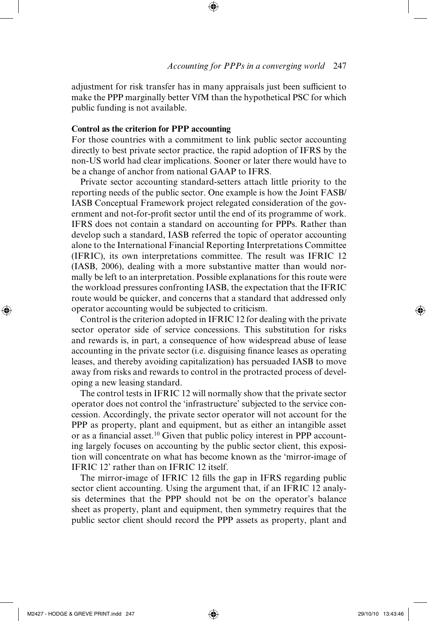adjustment for risk transfer has in many appraisals just been sufficient to make the PPP marginally better VfM than the hypothetical PSC for which public funding is not available.

#### **Control as the criterion for PPP accounting**

For those countries with a commitment to link public sector accounting directly to best private sector practice, the rapid adoption of IFRS by the non- US world had clear implications. Sooner or later there would have to be a change of anchor from national GAAP to IFRS.

Private sector accounting standard- setters attach little priority to the reporting needs of the public sector. One example is how the Joint FASB/ IASB Conceptual Framework project relegated consideration of the government and not-for-profit sector until the end of its programme of work. IFRS does not contain a standard on accounting for PPPs. Rather than develop such a standard, IASB referred the topic of operator accounting alone to the International Financial Reporting Interpretations Committee (IFRIC), its own interpretations committee. The result was IFRIC 12 (IASB, 2006), dealing with a more substantive matter than would normally be left to an interpretation. Possible explanations for this route were the workload pressures confronting IASB, the expectation that the IFRIC route would be quicker, and concerns that a standard that addressed only operator accounting would be subjected to criticism.

Control is the criterion adopted in IFRIC 12 for dealing with the private sector operator side of service concessions. This substitution for risks and rewards is, in part, a consequence of how widespread abuse of lease accounting in the private sector (i.e. disguising finance leases as operating leases, and thereby avoiding capitalization) has persuaded IASB to move away from risks and rewards to control in the protracted process of developing a new leasing standard.

The control tests in IFRIC 12 will normally show that the private sector operator does not control the 'infrastructure' subjected to the service concession. Accordingly, the private sector operator will not account for the PPP as property, plant and equipment, but as either an intangible asset or as a financial asset.<sup>10</sup> Given that public policy interest in PPP accounting largely focuses on accounting by the public sector client, this exposition will concentrate on what has become known as the 'mirror- image of IFRIC 12' rather than on IFRIC 12 itself.

The mirror-image of IFRIC 12 fills the gap in IFRS regarding public sector client accounting. Using the argument that, if an IFRIC 12 analysis determines that the PPP should not be on the operator's balance sheet as property, plant and equipment, then symmetry requires that the public sector client should record the PPP assets as property, plant and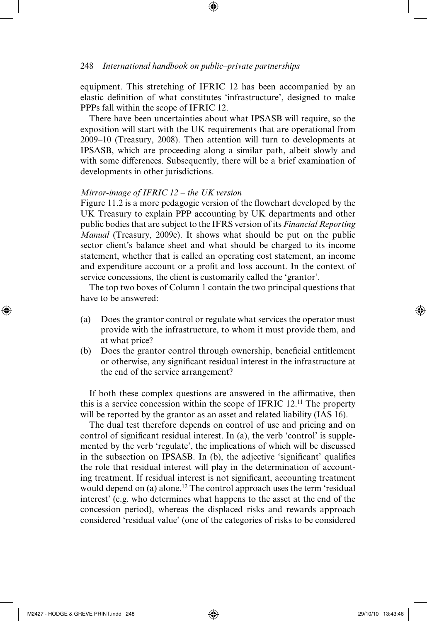equipment. This stretching of IFRIC 12 has been accompanied by an elastic definition of what constitutes 'infrastructure', designed to make PPPs fall within the scope of IFRIC 12.

There have been uncertainties about what IPSASB will require, so the exposition will start with the UK requirements that are operational from 2009–10 (Treasury, 2008). Then attention will turn to developments at IPSASB, which are proceeding along a similar path, albeit slowly and with some differences. Subsequently, there will be a brief examination of developments in other jurisdictions.

#### *Mirror- image of IFRIC 12 – the UK version*

Figure 11.2 is a more pedagogic version of the flowchart developed by the UK Treasury to explain PPP accounting by UK departments and other public bodies that are subject to the IFRS version of its *Financial Reporting Manual* (Treasury, 2009c). It shows what should be put on the public sector client's balance sheet and what should be charged to its income statement, whether that is called an operating cost statement, an income and expenditure account or a profit and loss account. In the context of service concessions, the client is customarily called the 'grantor'.

The top two boxes of Column 1 contain the two principal questions that have to be answered:

- (a) Does the grantor control or regulate what services the operator must provide with the infrastructure, to whom it must provide them, and at what price?
- (b) Does the grantor control through ownership, beneficial entitlement or otherwise, any significant residual interest in the infrastructure at the end of the service arrangement?

If both these complex questions are answered in the affirmative, then this is a service concession within the scope of IFRIC 12.11 The property will be reported by the grantor as an asset and related liability (IAS 16).

The dual test therefore depends on control of use and pricing and on control of significant residual interest. In  $(a)$ , the verb 'control' is supplemented by the verb 'regulate', the implications of which will be discussed in the subsection on IPSASB. In (b), the adjective 'significant' qualifies the role that residual interest will play in the determination of accounting treatment. If residual interest is not significant, accounting treatment would depend on (a) alone.<sup>12</sup> The control approach uses the term 'residual interest' (e.g. who determines what happens to the asset at the end of the concession period), whereas the displaced risks and rewards approach considered 'residual value' (one of the categories of risks to be considered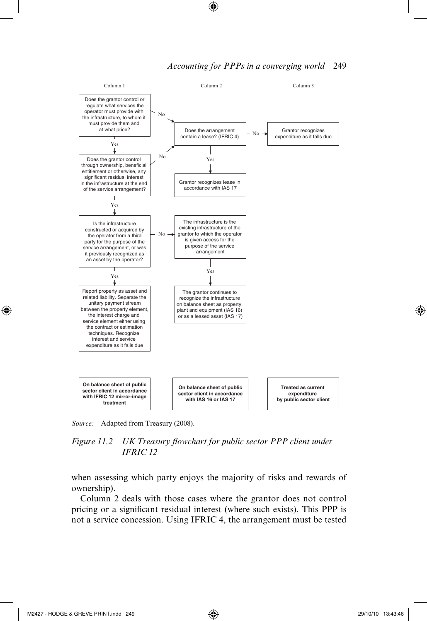

*Source:* Adapted from Treasury (2008).

*Figure 11.2 UK Treasury flowchart for public sector PPP client under IFRIC 12*

when assessing which party enjoys the majority of risks and rewards of ownership).

Column 2 deals with those cases where the grantor does not control pricing or a significant residual interest (where such exists). This PPP is not a service concession. Using IFRIC 4, the arrangement must be tested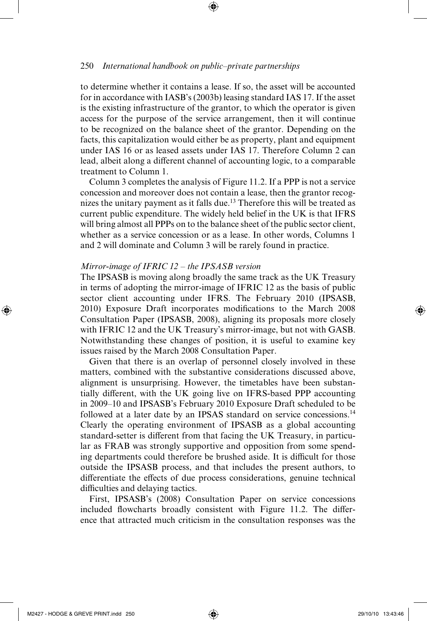to determine whether it contains a lease. If so, the asset will be accounted for in accordance with IASB's (2003b) leasing standard IAS 17. If the asset is the existing infrastructure of the grantor, to which the operator is given access for the purpose of the service arrangement, then it will continue to be recognized on the balance sheet of the grantor. Depending on the facts, this capitalization would either be as property, plant and equipment under IAS 16 or as leased assets under IAS 17. Therefore Column 2 can lead, albeit along a different channel of accounting logic, to a comparable treatment to Column 1.

Column 3 completes the analysis of Figure 11.2. If a PPP is not a service concession and moreover does not contain a lease, then the grantor recognizes the unitary payment as it falls due.13 Therefore this will be treated as current public expenditure. The widely held belief in the UK is that IFRS will bring almost all PPPs on to the balance sheet of the public sector client, whether as a service concession or as a lease. In other words, Columns 1 and 2 will dominate and Column 3 will be rarely found in practice.

#### *Mirror- image of IFRIC 12 – the IPSASB version*

The IPSASB is moving along broadly the same track as the UK Treasury in terms of adopting the mirror-image of IFRIC 12 as the basis of public sector client accounting under IFRS. The February 2010 (IPSASB, 2010) Exposure Draft incorporates modifications to the March 2008 Consultation Paper (IPSASB, 2008), aligning its proposals more closely with IFRIC 12 and the UK Treasury's mirror-image, but not with GASB. Notwithstanding these changes of position, it is useful to examine key issues raised by the March 2008 Consultation Paper.

Given that there is an overlap of personnel closely involved in these matters, combined with the substantive considerations discussed above, alignment is unsurprising. However, the timetables have been substantially different, with the UK going live on IFRS-based PPP accounting in 2009–10 and IPSASB's February 2010 Exposure Draft scheduled to be followed at a later date by an IPSAS standard on service concessions.<sup>14</sup> Clearly the operating environment of IPSASB as a global accounting standard-setter is different from that facing the UK Treasury, in particular as FRAB was strongly supportive and opposition from some spending departments could therefore be brushed aside. It is difficult for those outside the IPSASB process, and that includes the present authors, to differentiate the effects of due process considerations, genuine technical difficulties and delaying tactics.

First, IPSASB's (2008) Consultation Paper on service concessions included flowcharts broadly consistent with Figure 11.2. The difference that attracted much criticism in the consultation responses was the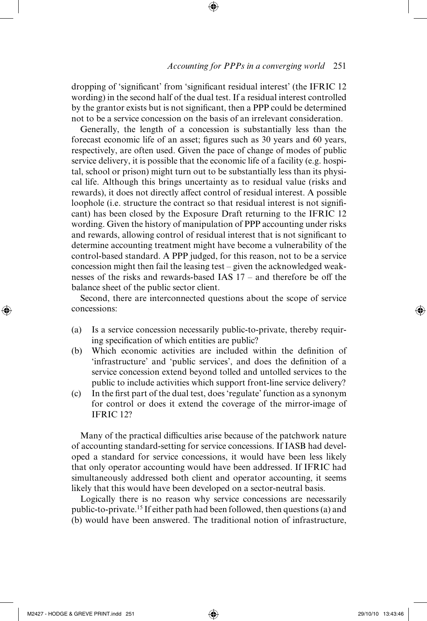dropping of 'significant' from 'significant residual interest' (the IFRIC 12 wording) in the second half of the dual test. If a residual interest controlled by the grantor exists but is not significant, then a PPP could be determined not to be a service concession on the basis of an irrelevant consideration.

Generally, the length of a concession is substantially less than the forecast economic life of an asset; figures such as 30 years and 60 years, respectively, are often used. Given the pace of change of modes of public service delivery, it is possible that the economic life of a facility (e.g. hospital, school or prison) might turn out to be substantially less than its physical life. Although this brings uncertainty as to residual value (risks and rewards), it does not directly affect control of residual interest. A possible loophole (i.e. structure the contract so that residual interest is not significant) has been closed by the Exposure Draft returning to the IFRIC 12 wording. Given the history of manipulation of PPP accounting under risks and rewards, allowing control of residual interest that is not significant to determine accounting treatment might have become a vulnerability of the control- based standard. A PPP judged, for this reason, not to be a service concession might then fail the leasing test – given the acknowledged weaknesses of the risks and rewards-based  $IAS$   $17$  – and therefore be off the balance sheet of the public sector client.

Second, there are interconnected questions about the scope of service concessions:

- (a) Is a service concession necessarily public- to- private, thereby requiring specification of which entities are public?
- (b) Which economic activities are included within the definition of 'infrastructure' and 'public services', and does the definition of a service concession extend beyond tolled and untolled services to the public to include activities which support front-line service delivery?
- $(c)$  In the first part of the dual test, does 'regulate' function as a synonym for control or does it extend the coverage of the mirror-image of IFRIC 12?

Many of the practical difficulties arise because of the patchwork nature of accounting standard- setting for service concessions. If IASB had developed a standard for service concessions, it would have been less likely that only operator accounting would have been addressed. If IFRIC had simultaneously addressed both client and operator accounting, it seems likely that this would have been developed on a sector-neutral basis.

Logically there is no reason why service concessions are necessarily public- to- private.15 If either path had been followed, then questions (a) and (b) would have been answered. The traditional notion of infrastructure,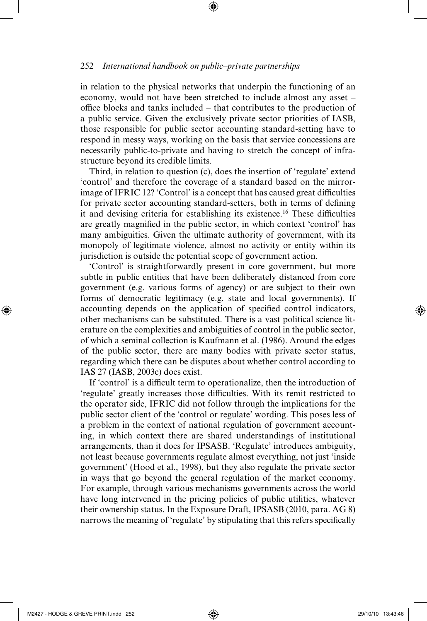in relation to the physical networks that underpin the functioning of an economy, would not have been stretched to include almost any asset – office blocks and tanks included  $-$  that contributes to the production of a public service. Given the exclusively private sector priorities of IASB, those responsible for public sector accounting standard- setting have to respond in messy ways, working on the basis that service concessions are necessarily public-to-private and having to stretch the concept of infrastructure beyond its credible limits.

Third, in relation to question (c), does the insertion of 'regulate' extend 'control' and therefore the coverage of a standard based on the mirror image of IFRIC 12? 'Control' is a concept that has caused great difficulties for private sector accounting standard-setters, both in terms of defining it and devising criteria for establishing its existence.<sup>16</sup> These difficulties are greatly magnified in the public sector, in which context 'control' has many ambiguities. Given the ultimate authority of government, with its monopoly of legitimate violence, almost no activity or entity within its jurisdiction is outside the potential scope of government action.

'Control' is straightforwardly present in core government, but more subtle in public entities that have been deliberately distanced from core government (e.g. various forms of agency) or are subject to their own forms of democratic legitimacy (e.g. state and local governments). If accounting depends on the application of specified control indicators, other mechanisms can be substituted. There is a vast political science literature on the complexities and ambiguities of control in the public sector, of which a seminal collection is Kaufmann et al. (1986). Around the edges of the public sector, there are many bodies with private sector status, regarding which there can be disputes about whether control according to IAS 27 (IASB, 2003c) does exist.

If 'control' is a difficult term to operationalize, then the introduction of 'regulate' greatly increases those difficulties. With its remit restricted to the operator side, IFRIC did not follow through the implications for the public sector client of the 'control or regulate' wording. This poses less of a problem in the context of national regulation of government accounting, in which context there are shared understandings of institutional arrangements, than it does for IPSASB. 'Regulate' introduces ambiguity, not least because governments regulate almost everything, not just 'inside government' (Hood et al., 1998), but they also regulate the private sector in ways that go beyond the general regulation of the market economy. For example, through various mechanisms governments across the world have long intervened in the pricing policies of public utilities, whatever their ownership status. In the Exposure Draft, IPSASB (2010, para. AG 8) narrows the meaning of 'regulate' by stipulating that this refers specifically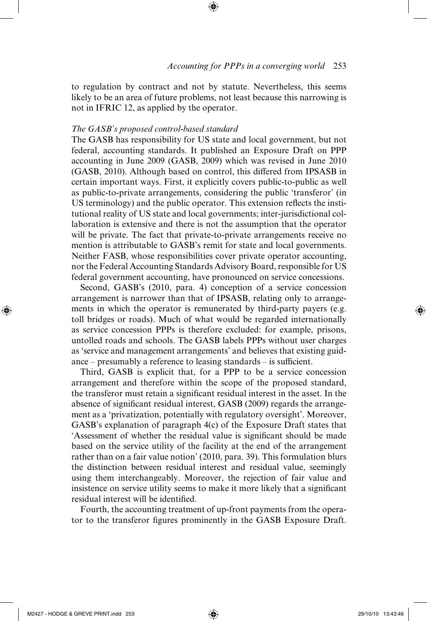to regulation by contract and not by statute. Nevertheless, this seems likely to be an area of future problems, not least because this narrowing is not in IFRIC 12, as applied by the operator.

#### *The GASB's proposed control- based standard*

The GASB has responsibility for US state and local government, but not federal, accounting standards. It published an Exposure Draft on PPP accounting in June 2009 (GASB, 2009) which was revised in June 2010 (GASB, 2010). Although based on control, this differed from IPSASB in certain important ways. First, it explicitly covers public- to- public as well as public- to- private arrangements, considering the public 'transferor' (in US terminology) and the public operator. This extension reflects the institutional reality of US state and local governments; inter-jurisdictional collaboration is extensive and there is not the assumption that the operator will be private. The fact that private-to-private arrangements receive no mention is attributable to GASB's remit for state and local governments. Neither FASB, whose responsibilities cover private operator accounting, nor the Federal Accounting Standards Advisory Board, responsible for US federal government accounting, have pronounced on service concessions.

Second, GASB's (2010, para. 4) conception of a service concession arrangement is narrower than that of IPSASB, relating only to arrangements in which the operator is remunerated by third-party payers (e.g. toll bridges or roads). Much of what would be regarded internationally as service concession PPPs is therefore excluded: for example, prisons, untolled roads and schools. The GASB labels PPPs without user charges as 'service and management arrangements' and believes that existing guidance – presumably a reference to leasing standards – is sufficient.

Third, GASB is explicit that, for a PPP to be a service concession arrangement and therefore within the scope of the proposed standard, the transferor must retain a significant residual interest in the asset. In the absence of significant residual interest, GASB (2009) regards the arrangement as a 'privatization, potentially with regulatory oversight'. Moreover, GASB's explanation of paragraph 4(c) of the Exposure Draft states that 'Assessment of whether the residual value is significant should be made based on the service utility of the facility at the end of the arrangement rather than on a fair value notion' (2010, para. 39). This formulation blurs the distinction between residual interest and residual value, seemingly using them interchangeably. Moreover, the rejection of fair value and insistence on service utility seems to make it more likely that a significant residual interest will be identified.

Fourth, the accounting treatment of up-front payments from the operator to the transferor figures prominently in the GASB Exposure Draft.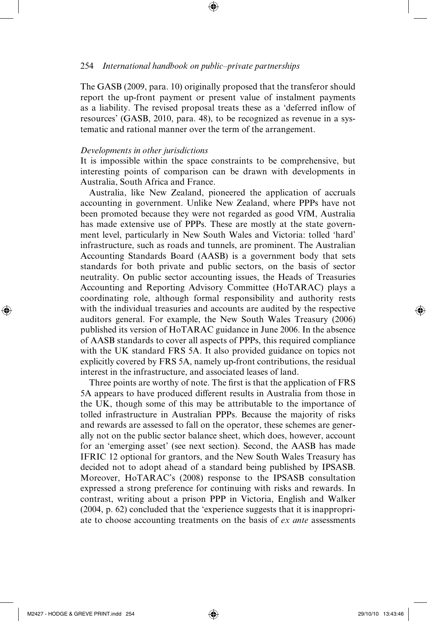The GASB (2009, para. 10) originally proposed that the transferor should report the up-front payment or present value of instalment payments as a liability. The revised proposal treats these as a 'deferred inflow of resources' (GASB, 2010, para. 48), to be recognized as revenue in a systematic and rational manner over the term of the arrangement.

#### *Developments in other jurisdictions*

It is impossible within the space constraints to be comprehensive, but interesting points of comparison can be drawn with developments in Australia, South Africa and France.

Australia, like New Zealand, pioneered the application of accruals accounting in government. Unlike New Zealand, where PPPs have not been promoted because they were not regarded as good VfM, Australia has made extensive use of PPPs. These are mostly at the state government level, particularly in New South Wales and Victoria: tolled 'hard' infrastructure, such as roads and tunnels, are prominent. The Australian Accounting Standards Board (AASB) is a government body that sets standards for both private and public sectors, on the basis of sector neutrality. On public sector accounting issues, the Heads of Treasuries Accounting and Reporting Advisory Committee (HoTARAC) plays a coordinating role, although formal responsibility and authority rests with the individual treasuries and accounts are audited by the respective auditors general. For example, the New South Wales Treasury (2006) published its version of HoTARAC guidance in June 2006. In the absence of AASB standards to cover all aspects of PPPs, this required compliance with the UK standard FRS 5A. It also provided guidance on topics not explicitly covered by FRS 5A, namely up-front contributions, the residual interest in the infrastructure, and associated leases of land.

Three points are worthy of note. The first is that the application of FRS 5A appears to have produced different results in Australia from those in the UK, though some of this may be attributable to the importance of tolled infrastructure in Australian PPPs. Because the majority of risks and rewards are assessed to fall on the operator, these schemes are generally not on the public sector balance sheet, which does, however, account for an 'emerging asset' (see next section). Second, the AASB has made IFRIC 12 optional for grantors, and the New South Wales Treasury has decided not to adopt ahead of a standard being published by IPSASB. Moreover, HoTARAC's (2008) response to the IPSASB consultation expressed a strong preference for continuing with risks and rewards. In contrast, writing about a prison PPP in Victoria, English and Walker (2004, p. 62) concluded that the 'experience suggests that it is inappropriate to choose accounting treatments on the basis of *ex ante* assessments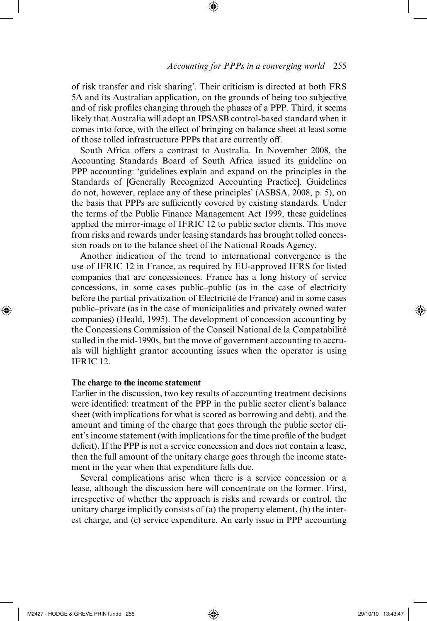of risk transfer and risk sharing'. Their criticism is directed at both FRS 5A and its Australian application, on the grounds of being too subjective and of risk profiles changing through the phases of a PPP. Third, it seems likely that Australia will adopt an IPSASB control- based standard when it comes into force, with the effect of bringing on balance sheet at least some of those tolled infrastructure PPPs that are currently off .

South Africa offers a contrast to Australia. In November 2008, the Accounting Standards Board of South Africa issued its guideline on PPP accounting: 'guidelines explain and expand on the principles in the Standards of [Generally Recognized Accounting Practice]. Guidelines do not, however, replace any of these principles' (ASBSA, 2008, p. 5), on the basis that PPPs are sufficiently covered by existing standards. Under the terms of the Public Finance Management Act 1999, these guidelines applied the mirror-image of IFRIC 12 to public sector clients. This move from risks and rewards under leasing standards has brought tolled concession roads on to the balance sheet of the National Roads Agency.

Another indication of the trend to international convergence is the use of IFRIC 12 in France, as required by EU-approved IFRS for listed companies that are concessionees. France has a long history of service concessions, in some cases public–public (as in the case of electricity before the partial privatization of Electricité de France) and in some cases public–private (as in the case of municipalities and privately owned water companies) (Heald, 1995). The development of concession accounting by the Concessions Commission of the Conseil National de la Compatabilité stalled in the mid- 1990s, but the move of government accounting to accruals will highlight grantor accounting issues when the operator is using IFRIC 12.

#### **The charge to the income statement**

Earlier in the discussion, two key results of accounting treatment decisions were identified: treatment of the PPP in the public sector client's balance sheet (with implications for what is scored as borrowing and debt), and the amount and timing of the charge that goes through the public sector client's income statement (with implications for the time profile of the budget deficit). If the PPP is not a service concession and does not contain a lease, then the full amount of the unitary charge goes through the income statement in the year when that expenditure falls due.

Several complications arise when there is a service concession or a lease, although the discussion here will concentrate on the former. First, irrespective of whether the approach is risks and rewards or control, the unitary charge implicitly consists of (a) the property element, (b) the interest charge, and (c) service expenditure. An early issue in PPP accounting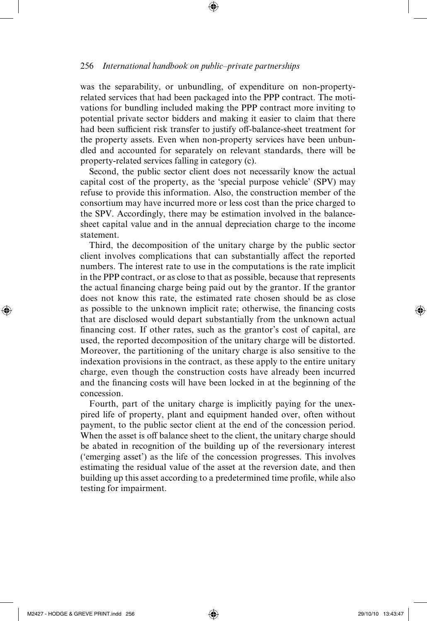was the separability, or unbundling, of expenditure on non-property related services that had been packaged into the PPP contract. The motivations for bundling included making the PPP contract more inviting to potential private sector bidders and making it easier to claim that there had been sufficient risk transfer to justify off-balance-sheet treatment for the property assets. Even when non- property services have been unbundled and accounted for separately on relevant standards, there will be property- related services falling in category (c).

Second, the public sector client does not necessarily know the actual capital cost of the property, as the 'special purpose vehicle' (SPV) may refuse to provide this information. Also, the construction member of the consortium may have incurred more or less cost than the price charged to the SPV. Accordingly, there may be estimation involved in the balance sheet capital value and in the annual depreciation charge to the income statement.

Third, the decomposition of the unitary charge by the public sector client involves complications that can substantially affect the reported numbers. The interest rate to use in the computations is the rate implicit in the PPP contract, or as close to that as possible, because that represents the actual financing charge being paid out by the grantor. If the grantor does not know this rate, the estimated rate chosen should be as close as possible to the unknown implicit rate; otherwise, the financing costs that are disclosed would depart substantially from the unknown actual financing cost. If other rates, such as the grantor's cost of capital, are used, the reported decomposition of the unitary charge will be distorted. Moreover, the partitioning of the unitary charge is also sensitive to the indexation provisions in the contract, as these apply to the entire unitary charge, even though the construction costs have already been incurred and the financing costs will have been locked in at the beginning of the concession.

Fourth, part of the unitary charge is implicitly paying for the unexpired life of property, plant and equipment handed over, often without payment, to the public sector client at the end of the concession period. When the asset is off balance sheet to the client, the unitary charge should be abated in recognition of the building up of the reversionary interest ('emerging asset') as the life of the concession progresses. This involves estimating the residual value of the asset at the reversion date, and then building up this asset according to a predetermined time profile, while also testing for impairment.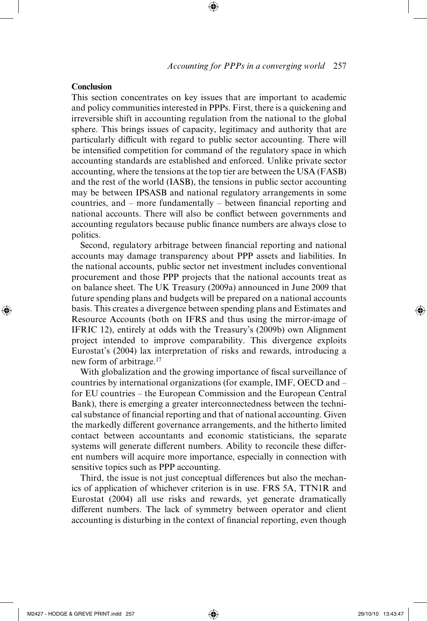#### **Conclusion**

This section concentrates on key issues that are important to academic and policy communities interested in PPPs. First, there is a quickening and irreversible shift in accounting regulation from the national to the global sphere. This brings issues of capacity, legitimacy and authority that are particularly difficult with regard to public sector accounting. There will be intensified competition for command of the regulatory space in which accounting standards are established and enforced. Unlike private sector accounting, where the tensions at the top tier are between the USA (FASB) and the rest of the world (IASB), the tensions in public sector accounting may be between IPSASB and national regulatory arrangements in some countries, and  $-$  more fundamentally  $-$  between financial reporting and national accounts. There will also be conflict between governments and accounting regulators because public finance numbers are always close to politics.

Second, regulatory arbitrage between financial reporting and national accounts may damage transparency about PPP assets and liabilities. In the national accounts, public sector net investment includes conventional procurement and those PPP projects that the national accounts treat as on balance sheet. The UK Treasury (2009a) announced in June 2009 that future spending plans and budgets will be prepared on a national accounts basis. This creates a divergence between spending plans and Estimates and Resource Accounts (both on IFRS and thus using the mirror-image of IFRIC 12), entirely at odds with the Treasury's (2009b) own Alignment project intended to improve comparability. This divergence exploits Eurostat's (2004) lax interpretation of risks and rewards, introducing a new form of arbitrage.<sup>17</sup>

With globalization and the growing importance of fiscal surveillance of countries by international organizations (for example, IMF, OECD and – for EU countries – the European Commission and the European Central Bank), there is emerging a greater interconnectedness between the technical substance of financial reporting and that of national accounting. Given the markedly different governance arrangements, and the hitherto limited contact between accountants and economic statisticians, the separate systems will generate different numbers. Ability to reconcile these different numbers will acquire more importance, especially in connection with sensitive topics such as PPP accounting.

Third, the issue is not just conceptual differences but also the mechanics of application of whichever criterion is in use. FRS 5A, TTN1R and Eurostat (2004) all use risks and rewards, yet generate dramatically different numbers. The lack of symmetry between operator and client accounting is disturbing in the context of financial reporting, even though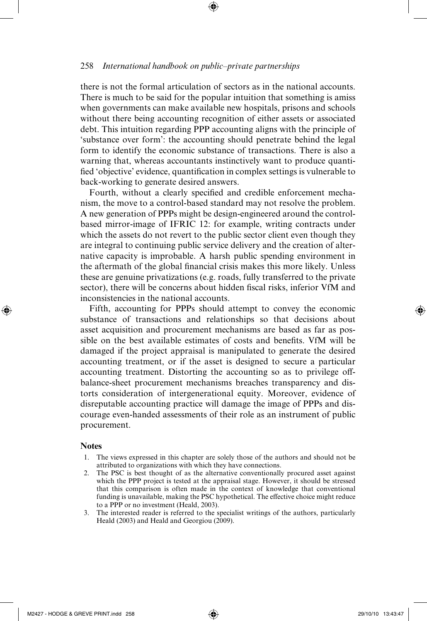there is not the formal articulation of sectors as in the national accounts. There is much to be said for the popular intuition that something is amiss when governments can make available new hospitals, prisons and schools without there being accounting recognition of either assets or associated debt. This intuition regarding PPP accounting aligns with the principle of 'substance over form': the accounting should penetrate behind the legal form to identify the economic substance of transactions. There is also a warning that, whereas accountants instinctively want to produce quantified 'objective' evidence, quantification in complex settings is vulnerable to back- working to generate desired answers.

Fourth, without a clearly specified and credible enforcement mechanism, the move to a control- based standard may not resolve the problem. A new generation of PPPs might be design- engineered around the control based mirror-image of IFRIC 12: for example, writing contracts under which the assets do not revert to the public sector client even though they are integral to continuing public service delivery and the creation of alternative capacity is improbable. A harsh public spending environment in the aftermath of the global financial crisis makes this more likely. Unless these are genuine privatizations (e.g. roads, fully transferred to the private sector), there will be concerns about hidden fiscal risks, inferior VfM and inconsistencies in the national accounts.

Fifth, accounting for PPPs should attempt to convey the economic substance of transactions and relationships so that decisions about asset acquisition and procurement mechanisms are based as far as possible on the best available estimates of costs and benefits. VfM will be damaged if the project appraisal is manipulated to generate the desired accounting treatment, or if the asset is designed to secure a particular accounting treatment. Distorting the accounting so as to privilege off balance- sheet procurement mechanisms breaches transparency and distorts consideration of intergenerational equity. Moreover, evidence of disreputable accounting practice will damage the image of PPPs and discourage even- handed assessments of their role as an instrument of public procurement.

#### **Notes**

- 1. The views expressed in this chapter are solely those of the authors and should not be attributed to organizations with which they have connections.
- 2. The PSC is best thought of as the alternative conventionally procured asset against which the PPP project is tested at the appraisal stage. However, it should be stressed that this comparison is often made in the context of knowledge that conventional funding is unavailable, making the PSC hypothetical. The effective choice might reduce to a PPP or no investment (Heald, 2003).
- 3. The interested reader is referred to the specialist writings of the authors, particularly Heald (2003) and Heald and Georgiou (2009).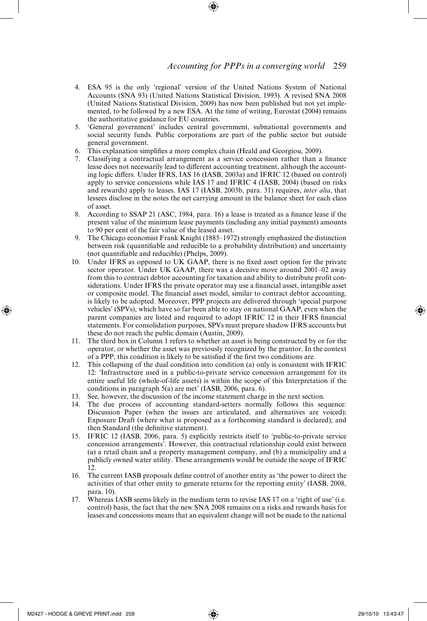- 4. ESA 95 is the only 'regional' version of the United Nations System of National Accounts (SNA 93) (United Nations Statistical Division, 1993). A revised SNA 2008 (United Nations Statistical Division, 2009) has now been published but not yet implemented, to be followed by a new ESA. At the time of writing, Eurostat (2004) remains the authoritative guidance for EU countries.
- 5. 'General government' includes central government, subnational governments and social security funds. Public corporations are part of the public sector but outside general government.
- 6. This explanation simplifies a more complex chain (Heald and Georgiou, 2009).
- 7. Classifying a contractual arrangement as a service concession rather than a finance lease does not necessarily lead to different accounting treatment, although the accounting logic differs. Under IFRS, IAS 16 (IASB, 2003a) and IFRIC 12 (based on control) apply to service concessions while IAS 17 and IFRIC 4 (IASB, 2004) (based on risks and rewards) apply to leases. IAS 17 (IASB, 2003b, para. 31) requires, *inter alia*, that lessees disclose in the notes the net carrying amount in the balance sheet for each class of asset.
- 8. According to SSAP 21 (ASC, 1984, para. 16) a lease is treated as a finance lease if the present value of the minimum lease payments (including any initial payment) amounts to 90 per cent of the fair value of the leased asset.
- 9. The Chicago economist Frank Knight (1885–1972) strongly emphasized the distinction between risk (quantifiable and reducible to a probability distribution) and uncertainty (not quantifiable and reducible) (Phelps, 2009).
- 10. Under IFRS as opposed to UK GAAP, there is no fixed asset option for the private sector operator. Under UK GAAP, there was a decisive move around 2001–02 away from this to contract debtor accounting for taxation and ability to distribute profit considerations. Under IFRS the private operator may use a financial asset, intangible asset or composite model. The financial asset model, similar to contract debtor accounting, is likely to be adopted. Moreover, PPP projects are delivered through 'special purpose vehicles' (SPVs), which have so far been able to stay on national GAAP, even when the parent companies are listed and required to adopt IFRIC 12 in their IFRS financial statements. For consolidation purposes, SPVs must prepare shadow IFRS accounts but these do not reach the public domain (Austin, 2009).
- 11. The third box in Column 1 refers to whether an asset is being constructed by or for the operator, or whether the asset was previously recognized by the grantor. In the context of a PPP, this condition is likely to be satisfied if the first two conditions are.
- 12. This collapsing of the dual condition into condition (a) only is consistent with IFRIC 12: 'Infrastructure used in a public- to- private service concession arrangement for its entire useful life (whole-of-life assets) is within the scope of this Interpretation if the conditions in paragraph 5(a) are met' (IASB, 2006, para. 6).
- 13. See, however, the discussion of the income statement charge in the next section.
- 14. The due process of accounting standard- setters normally follows this sequence: Discussion Paper (when the issues are articulated, and alternatives are voiced); Exposure Draft (where what is proposed as a forthcoming standard is declared); and then Standard (the definitive statement).
- 15. IFRIC 12 (IASB, 2006, para. 5) explicitly restricts itself to 'public- to- private service concession arrangements'. However, this contractual relationship could exist between (a) a retail chain and a property management company, and (b) a municipality and a publicly owned water utility. These arrangements would be outside the scope of IFRIC 12.
- 16. The current IASB proposals define control of another entity as 'the power to direct the activities of that other entity to generate returns for the reporting entity' (IASB, 2008, para. 10).
- 17. Whereas IASB seems likely in the medium term to revise IAS 17 on a 'right of use' (i.e. control) basis, the fact that the new SNA 2008 remains on a risks and rewards basis for leases and concessions means that an equivalent change will not be made to the national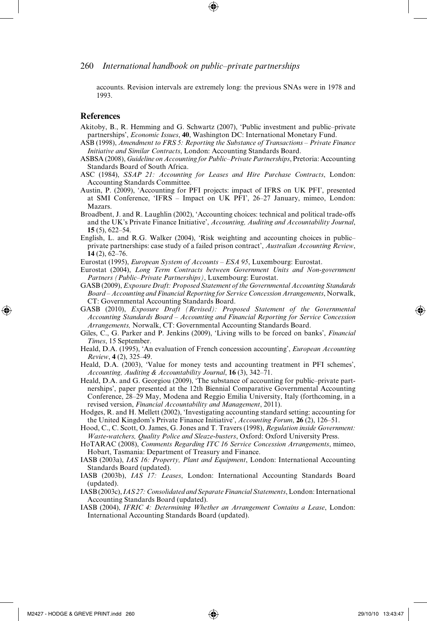accounts. Revision intervals are extremely long: the previous SNAs were in 1978 and 1993.

#### **References**

- Akitoby, B., R. Hemming and G. Schwartz (2007), 'Public investment and public–private partnerships', *Economic Issues*, **40**, Washington DC: International Monetary Fund.
- ASB (1998), *Amendment to FRS 5: Reporting the Substance of Transactions Private Finance Initiative and Similar Contracts*, London: Accounting Standards Board.
- ASBSA (2008), *Guideline on Accounting for Public–Private Partnerships*, Pretoria: Accounting Standards Board of South Africa.
- ASC (1984), *SSAP 21: Accounting for Leases and Hire Purchase Contracts*, London: Accounting Standards Committee.
- Austin, P. (2009), 'Accounting for PFI projects: impact of IFRS on UK PFI', presented at SMI Conference, 'IFRS – Impact on UK PFI', 26–27 January, mimeo, London: Mazars.
- Broadbent, J. and R. Laughlin (2002), 'Accounting choices: technical and political trade-offs and the UK's Private Finance Initiative', *Accounting, Auditing and Accountability Journal*, **15** (5), 622–54.
- English, L. and R.G. Walker (2004), 'Risk weighting and accounting choices in public– private partnerships: case study of a failed prison contract', *Australian Accounting Review*, **14** (2), 62–76.
- Eurostat (1995), *European System of Accounts ESA 95*, Luxembourg: Eurostat.
- Eurostat (2004), *Long Term Contracts between Government Units and Non- government Partners (Public–Private Partnerships)*, Luxembourg: Eurostat.
- GASB (2009), *Exposure Draft: Proposed Statement of the Governmental Accounting Standards Board – Accounting and Financial Reporting for Service Concession Arrangements*, Norwalk, CT: Governmental Accounting Standards Board.
- GASB (2010), *Exposure Draft (Revised): Proposed Statement of the Governmental Accounting Standards Board – Accounting and Financial Reporting for Service Concession Arrangements,* Norwalk, CT: Governmental Accounting Standards Board.
- Giles, C., G. Parker and P. Jenkins (2009), 'Living wills to be forced on banks', *Financial Times*, 15 September.
- Heald, D.A. (1995), 'An evaluation of French concession accounting', *European Accounting Review*, **4** (2), 325–49.
- Heald, D.A. (2003), 'Value for money tests and accounting treatment in PFI schemes', *Accounting, Auditing & Accountability Journal*, **16** (3), 342–71.
- Heald, D.A. and G. Georgiou (2009), 'The substance of accounting for public–private partnerships', paper presented at the 12th Biennial Comparative Governmental Accounting Conference, 28–29 May, Modena and Reggio Emilia University, Italy (forthcoming, in a revised version, *Financial Accountability and Management*, 2011).
- Hodges, R. and H. Mellett (2002), 'Investigating accounting standard setting: accounting for the United Kingdom's Private Finance Initiative', *Accounting Forum*, **26** (2), 126–51.
- Hood, C., C. Scott, O. James, G. Jones and T. Travers (1998), *Regulation inside Government: Waste- watchers, Quality Police and Sleaze- busters*, Oxford: Oxford University Press.
- HoTARAC (2008), *Comments Regarding ITC 16 Service Concession Arrangements*, mimeo, Hobart, Tasmania: Department of Treasury and Finance.
- IASB (2003a), *IAS 16: Property, Plant and Equipment*, London: International Accounting Standards Board (updated).
- IASB (2003b), *IAS 17: Leases*, London: International Accounting Standards Board (updated).
- IASB (2003c), *IAS 27: Consolidated and Separate Financial Statements*, London: International Accounting Standards Board (updated).
- IASB (2004), *IFRIC 4: Determining Whether an Arrangement Contains a Lease*, London: International Accounting Standards Board (updated).